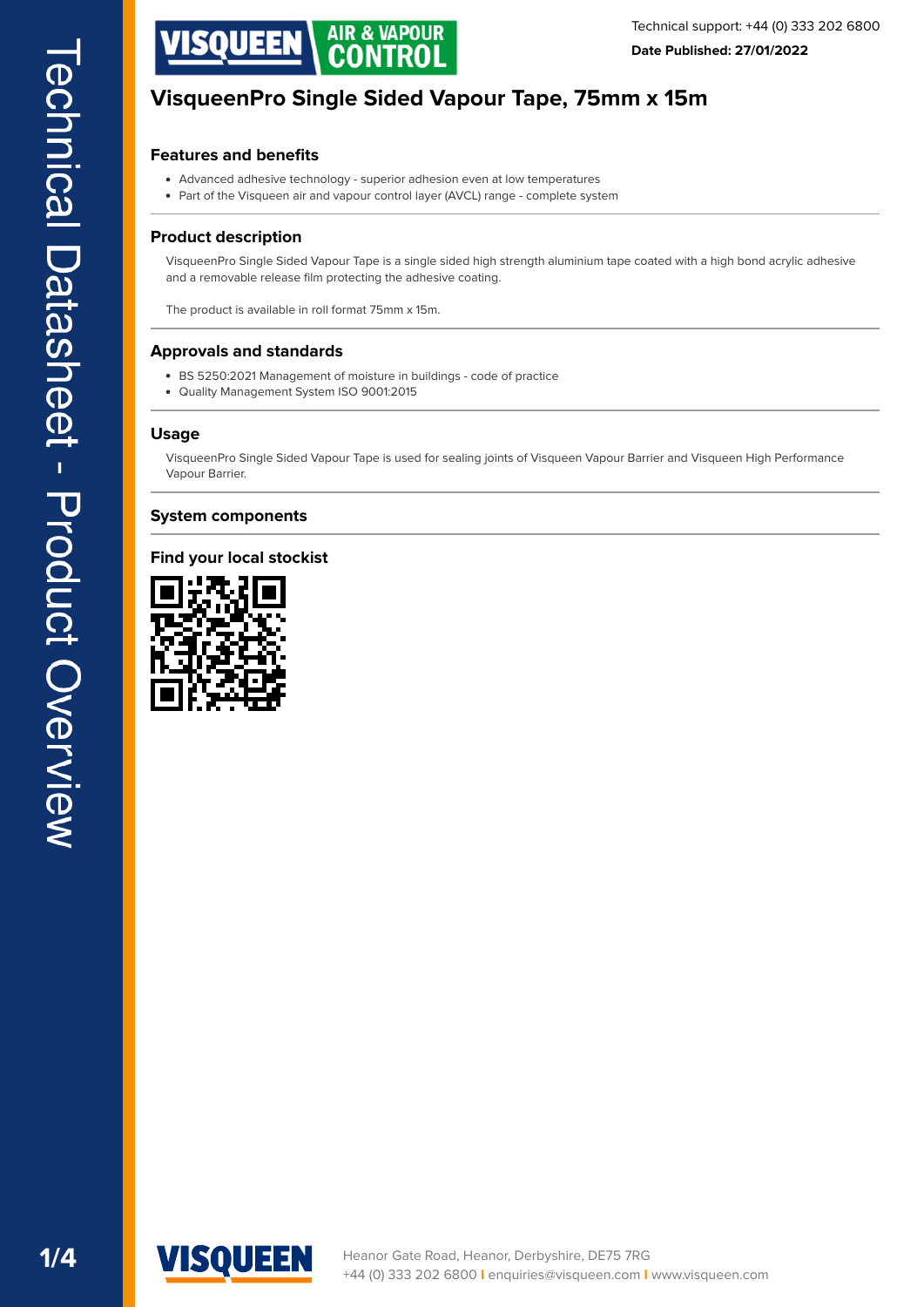

### **Features and benefits**

- Advanced adhesive technology superior adhesion even at low temperatures
- Part of the Visqueen air and vapour control layer (AVCL) range complete system

#### **Product description**

VisqueenPro Single Sided Vapour Tape is a single sided high strength aluminium tape coated with a high bond acrylic adhesive and a removable release film protecting the adhesive coating.

The product is available in roll format 75mm x 15m.

#### **Approvals and standards**

- BS 5250:2021 Management of moisture in buildings code of practice
- Quality Management System ISO 9001:2015

#### **Usage**

VisqueenPro Single Sided Vapour Tape is used for sealing joints of Visqueen Vapour Barrier and Visqueen High Performance Vapour Barrier.

#### **System components**

#### **Find your local stockist**



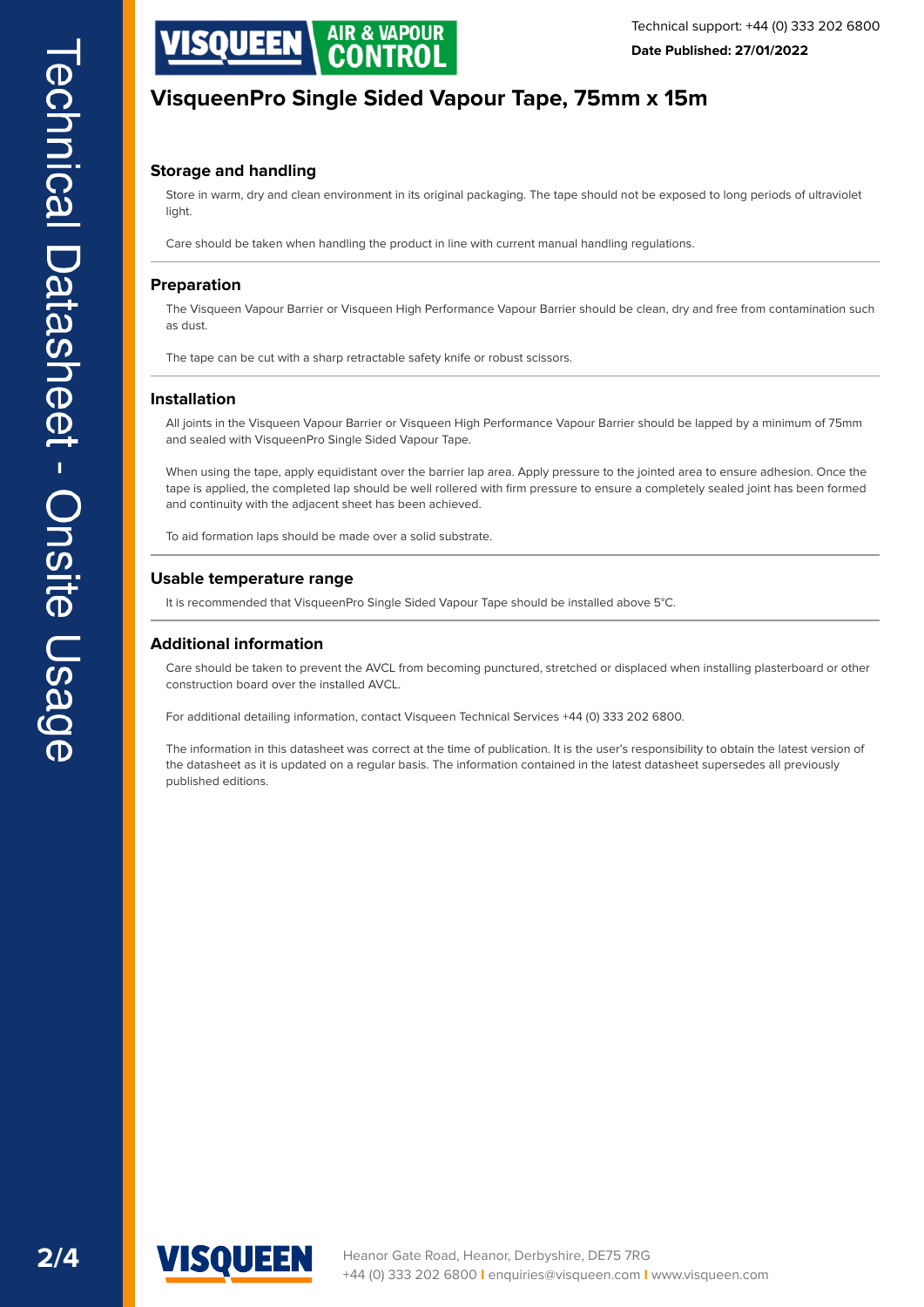

### **Storage and handling**

Store in warm, dry and clean environment in its original packaging. The tape should not be exposed to long periods of ultraviolet light.

Care should be taken when handling the product in line with current manual handling regulations.

#### **Preparation**

The Visqueen Vapour Barrier or Visqueen High Performance Vapour Barrier should be clean, dry and free from contamination such as dust.

The tape can be cut with a sharp retractable safety knife or robust scissors.

### **Installation**

All joints in the Visqueen Vapour Barrier or Visqueen High Performance Vapour Barrier should be lapped by a minimum of 75mm and sealed with VisqueenPro Single Sided Vapour Tape.

When using the tape, apply equidistant over the barrier lap area. Apply pressure to the jointed area to ensure adhesion. Once the tape is applied, the completed lap should be well rollered with frm pressure to ensure a completely sealed joint has been formed and continuity with the adjacent sheet has been achieved.

To aid formation laps should be made over a solid substrate.

#### **Usable temperature range**

It is recommended that VisqueenPro Single Sided Vapour Tape should be installed above 5°C.

#### **Additional information**

Care should be taken to prevent the AVCL from becoming punctured, stretched or displaced when installing plasterboard or other construction board over the installed AVCL.

For additional detailing information, contact Visqueen Technical Services +44 (0) 333 202 6800.

The information in this datasheet was correct at the time of publication. It is the user's responsibility to obtain the latest version of the datasheet as it is updated on a regular basis. The information contained in the latest datasheet supersedes all previously published editions.

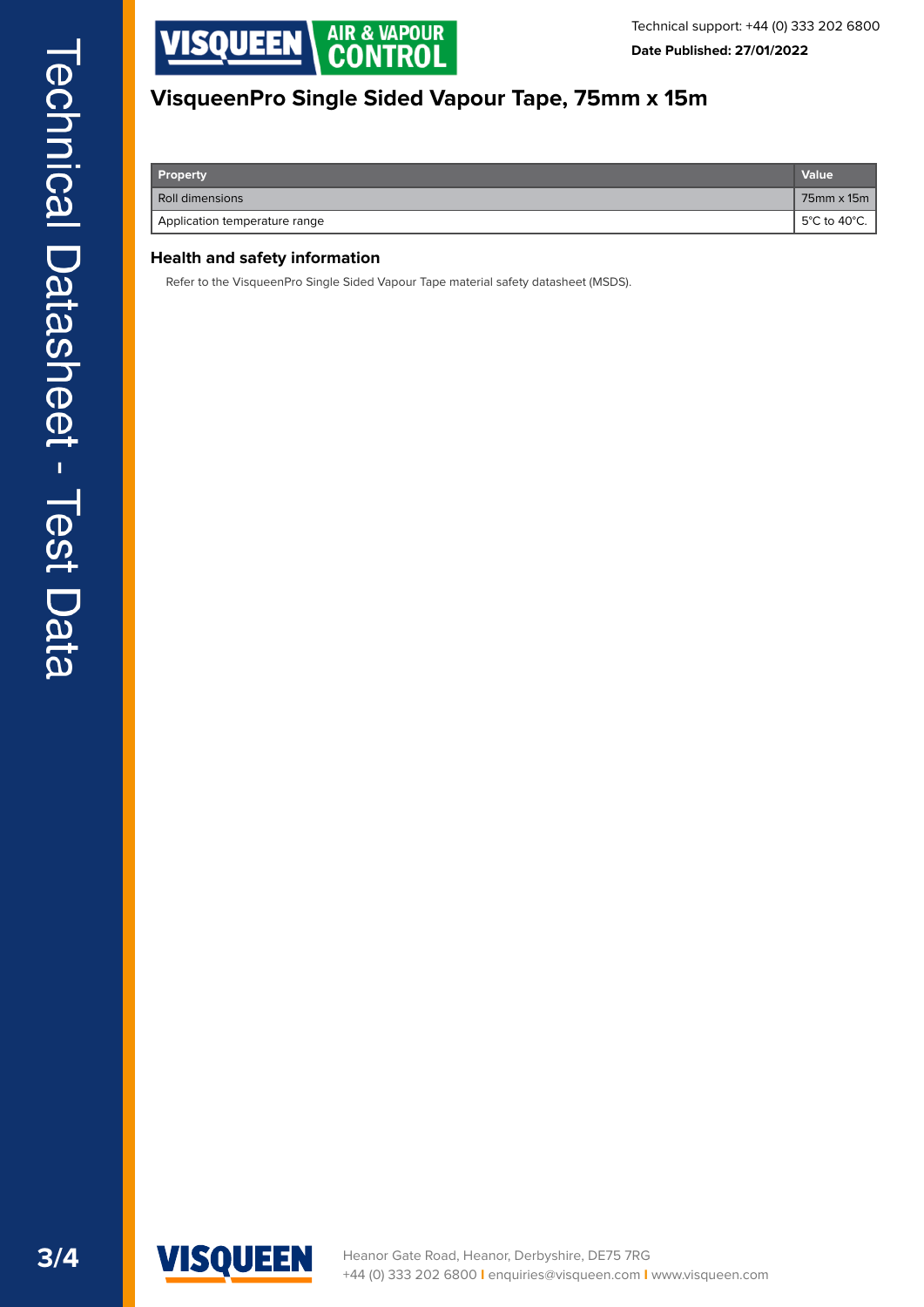

|  | Property                      | Value          |
|--|-------------------------------|----------------|
|  | Roll dimensions               | 75mm x 15m     |
|  | Application temperature range | ∣ 5°C to 40°C. |

## **Health and safety information**

Refer to the VisqueenPro Single Sided Vapour Tape material safety datasheet (MSDS).